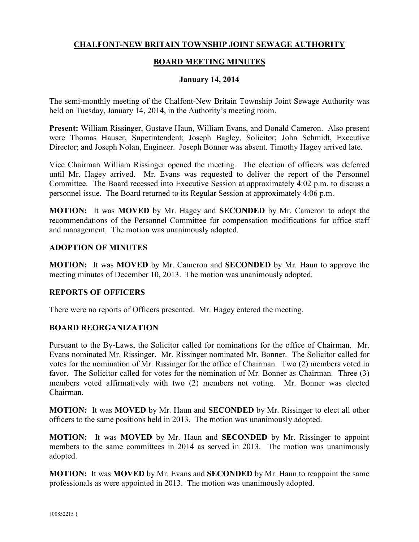# **CHALFONT-NEW BRITAIN TOWNSHIP JOINT SEWAGE AUTHORITY**

# **BOARD MEETING MINUTES**

## **January 14, 2014**

The semi-monthly meeting of the Chalfont-New Britain Township Joint Sewage Authority was held on Tuesday, January 14, 2014, in the Authority's meeting room.

**Present:** William Rissinger, Gustave Haun, William Evans, and Donald Cameron. Also present were Thomas Hauser, Superintendent; Joseph Bagley, Solicitor; John Schmidt, Executive Director; and Joseph Nolan, Engineer. Joseph Bonner was absent. Timothy Hagey arrived late.

Vice Chairman William Rissinger opened the meeting. The election of officers was deferred until Mr. Hagey arrived. Mr. Evans was requested to deliver the report of the Personnel Committee. The Board recessed into Executive Session at approximately 4:02 p.m. to discuss a personnel issue. The Board returned to its Regular Session at approximately 4:06 p.m.

**MOTION:** It was **MOVED** by Mr. Hagey and **SECONDED** by Mr. Cameron to adopt the recommendations of the Personnel Committee for compensation modifications for office staff and management. The motion was unanimously adopted.

## **ADOPTION OF MINUTES**

**MOTION:** It was **MOVED** by Mr. Cameron and **SECONDED** by Mr. Haun to approve the meeting minutes of December 10, 2013. The motion was unanimously adopted.

## **REPORTS OF OFFICERS**

There were no reports of Officers presented. Mr. Hagey entered the meeting.

## **BOARD REORGANIZATION**

Pursuant to the By-Laws, the Solicitor called for nominations for the office of Chairman. Mr. Evans nominated Mr. Rissinger. Mr. Rissinger nominated Mr. Bonner. The Solicitor called for votes for the nomination of Mr. Rissinger for the office of Chairman. Two (2) members voted in favor. The Solicitor called for votes for the nomination of Mr. Bonner as Chairman. Three (3) members voted affirmatively with two (2) members not voting. Mr. Bonner was elected Chairman.

**MOTION:** It was **MOVED** by Mr. Haun and **SECONDED** by Mr. Rissinger to elect all other officers to the same positions held in 2013. The motion was unanimously adopted.

**MOTION:** It was **MOVED** by Mr. Haun and **SECONDED** by Mr. Rissinger to appoint members to the same committees in 2014 as served in 2013. The motion was unanimously adopted.

**MOTION:** It was **MOVED** by Mr. Evans and **SECONDED** by Mr. Haun to reappoint the same professionals as were appointed in 2013. The motion was unanimously adopted.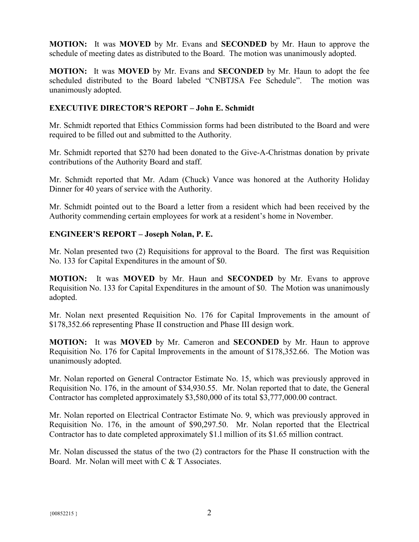**MOTION:** It was **MOVED** by Mr. Evans and **SECONDED** by Mr. Haun to approve the schedule of meeting dates as distributed to the Board. The motion was unanimously adopted.

**MOTION:** It was **MOVED** by Mr. Evans and **SECONDED** by Mr. Haun to adopt the fee scheduled distributed to the Board labeled "CNBTJSA Fee Schedule". The motion was unanimously adopted.

# **EXECUTIVE DIRECTOR'S REPORT – John E. Schmidt**

Mr. Schmidt reported that Ethics Commission forms had been distributed to the Board and were required to be filled out and submitted to the Authority.

Mr. Schmidt reported that \$270 had been donated to the Give-A-Christmas donation by private contributions of the Authority Board and staff.

Mr. Schmidt reported that Mr. Adam (Chuck) Vance was honored at the Authority Holiday Dinner for 40 years of service with the Authority.

Mr. Schmidt pointed out to the Board a letter from a resident which had been received by the Authority commending certain employees for work at a resident's home in November.

# **ENGINEER'S REPORT – Joseph Nolan, P. E.**

Mr. Nolan presented two (2) Requisitions for approval to the Board. The first was Requisition No. 133 for Capital Expenditures in the amount of \$0.

**MOTION:** It was **MOVED** by Mr. Haun and **SECONDED** by Mr. Evans to approve Requisition No. 133 for Capital Expenditures in the amount of \$0. The Motion was unanimously adopted.

Mr. Nolan next presented Requisition No. 176 for Capital Improvements in the amount of \$178,352.66 representing Phase II construction and Phase III design work.

**MOTION:** It was **MOVED** by Mr. Cameron and **SECONDED** by Mr. Haun to approve Requisition No. 176 for Capital Improvements in the amount of \$178,352.66. The Motion was unanimously adopted.

Mr. Nolan reported on General Contractor Estimate No. 15, which was previously approved in Requisition No. 176, in the amount of \$34,930.55. Mr. Nolan reported that to date, the General Contractor has completed approximately \$3,580,000 of its total \$3,777,000.00 contract.

Mr. Nolan reported on Electrical Contractor Estimate No. 9, which was previously approved in Requisition No. 176, in the amount of \$90,297.50. Mr. Nolan reported that the Electrical Contractor has to date completed approximately \$1.l million of its \$1.65 million contract.

Mr. Nolan discussed the status of the two (2) contractors for the Phase II construction with the Board. Mr. Nolan will meet with C & T Associates.